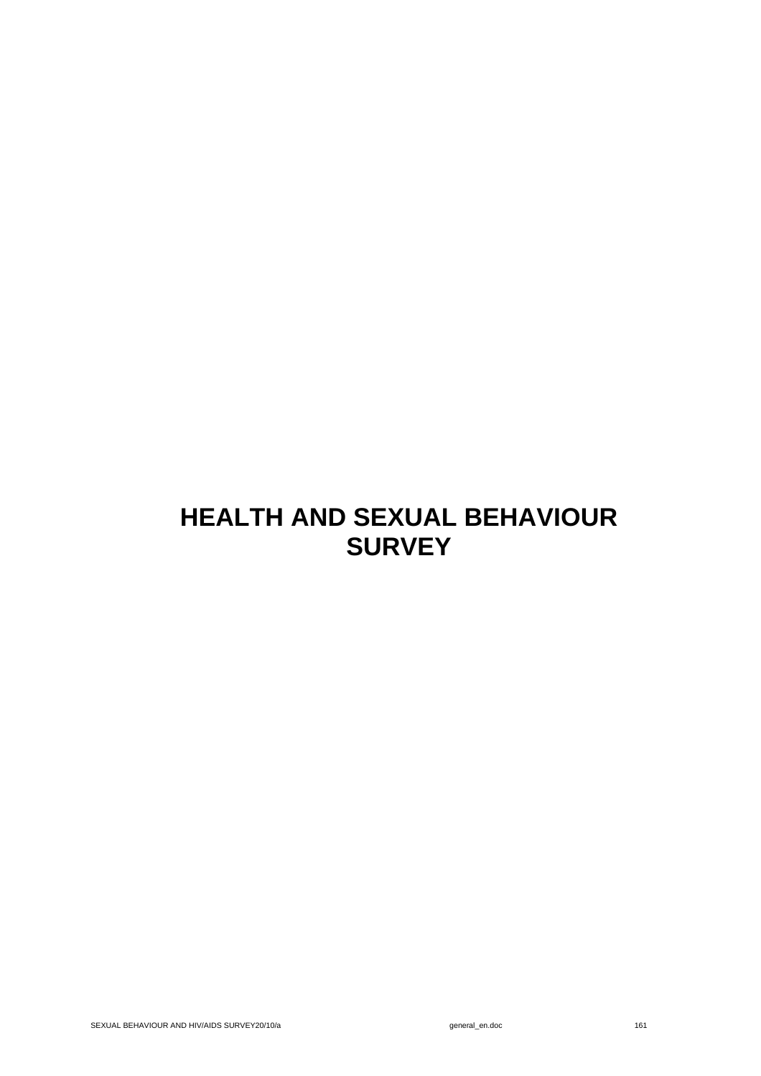# **HEALTH AND SEXUAL BEHAVIOUR SURVEY**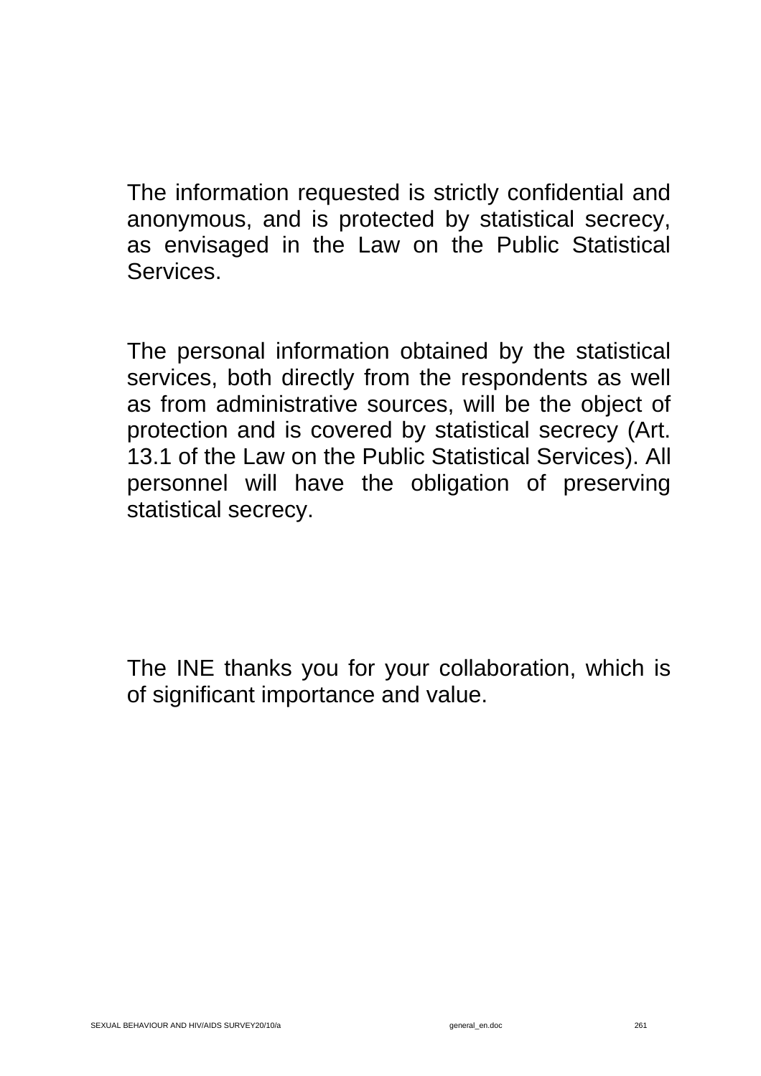The information requested is strictly confidential and anonymous, and is protected by statistical secrecy, as envisaged in the Law on the Public Statistical Services.

The personal information obtained by the statistical services, both directly from the respondents as well as from administrative sources, will be the object of protection and is covered by statistical secrecy (Art. 13.1 of the Law on the Public Statistical Services). All personnel will have the obligation of preserving statistical secrecy.

The INE thanks you for your collaboration, which is of significant importance and value.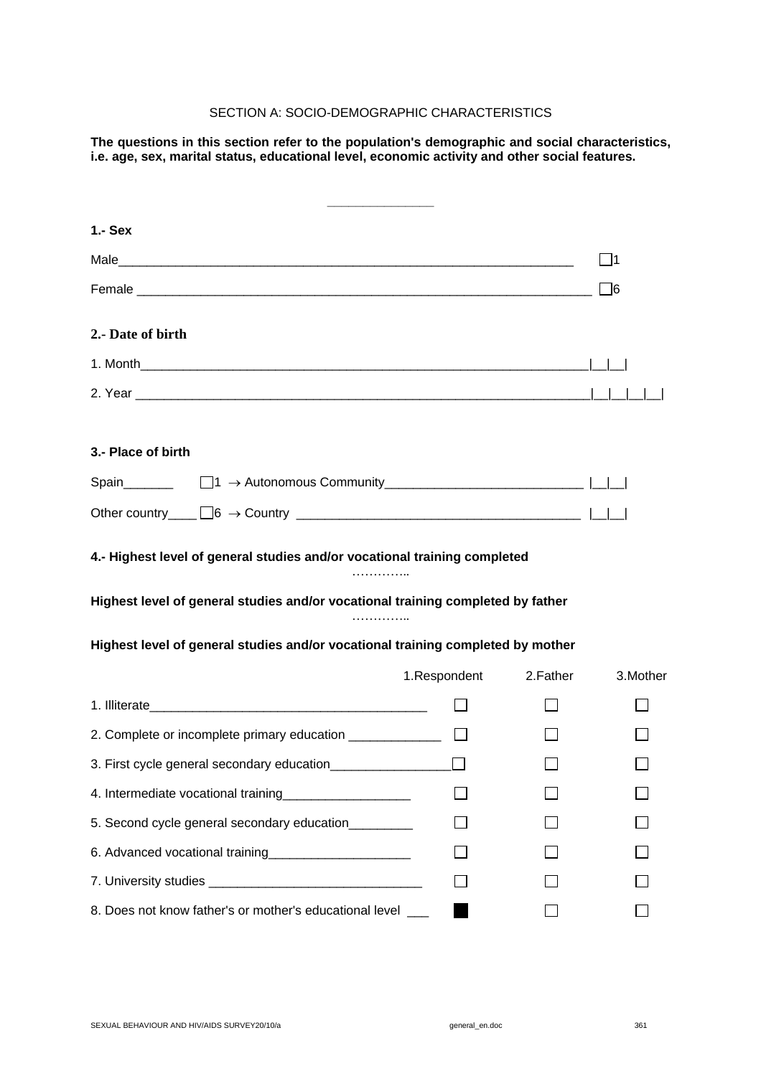## SECTION A: SOCIO-DEMOGRAPHIC CHARACTERISTICS

**The questions in this section refer to the population's demographic and social characteristics, i.e. age, sex, marital status, educational level, economic activity and other social features.** 

| $1 -$ Sex                                                                       |              |          |          |
|---------------------------------------------------------------------------------|--------------|----------|----------|
|                                                                                 |              |          | 1        |
|                                                                                 |              |          | ]6       |
| 2.- Date of birth                                                               |              |          |          |
|                                                                                 |              |          |          |
|                                                                                 |              |          |          |
| 3.- Place of birth                                                              |              |          |          |
|                                                                                 |              |          |          |
| Other country $\Box$ 6 $\rightarrow$ Country $\Box$ $\Box$ $\Box$ $\Box$        |              |          |          |
| 4.- Highest level of general studies and/or vocational training completed<br>.  |              |          |          |
| Highest level of general studies and/or vocational training completed by father |              |          |          |
| Highest level of general studies and/or vocational training completed by mother |              |          |          |
|                                                                                 | 1.Respondent | 2.Father | 3.Mother |
|                                                                                 |              |          |          |
| 2. Complete or incomplete primary education ____________                        |              |          |          |
| 3. First cycle general secondary education                                      |              |          |          |
|                                                                                 |              |          |          |
| 5. Second cycle general secondary education                                     |              |          |          |
| 6. Advanced vocational training <b>COVID-1000</b> COVID-1000                    |              |          |          |
|                                                                                 |              |          |          |
| 8. Does not know father's or mother's educational level                         |              |          |          |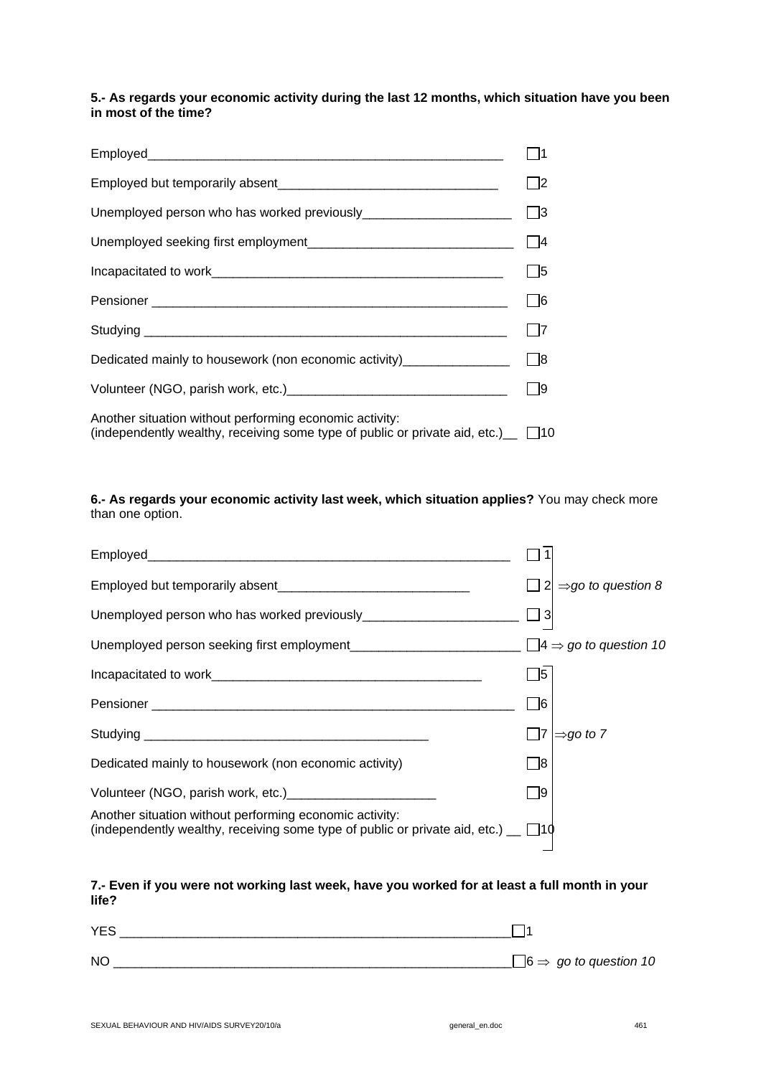## **5.- As regards your economic activity during the last 12 months, which situation have you been in most of the time?**

|                                                                                                                                                  | $\Box$ 2    |
|--------------------------------------------------------------------------------------------------------------------------------------------------|-------------|
|                                                                                                                                                  |             |
|                                                                                                                                                  | $\Box$ 4    |
|                                                                                                                                                  | $\square$ 5 |
|                                                                                                                                                  | $\Box$ 6    |
|                                                                                                                                                  | $\Box$ 7    |
| Dedicated mainly to housework (non economic activity)____________________________                                                                |             |
| Volunteer (NGO, parish work, etc.) [2010] [2010] [2010] [2010] [2010] [2010] [2010] [2010] [2010] [2010] [2010                                   | $\Box$ 9    |
| Another situation without performing economic activity:<br>(independently wealthy, receiving some type of public or private aid, etc.) $\Box$ 10 |             |

## **6.- As regards your economic activity last week, which situation applies?** You may check more than one option.

|                                                                                                                                                    |      | $2 \implies$ go to question 8 |
|----------------------------------------------------------------------------------------------------------------------------------------------------|------|-------------------------------|
|                                                                                                                                                    |      |                               |
|                                                                                                                                                    |      |                               |
|                                                                                                                                                    | ヿ5   |                               |
|                                                                                                                                                    | 16   |                               |
|                                                                                                                                                    | - 17 | $\Rightarrow$ go to 7         |
| Dedicated mainly to housework (non economic activity)                                                                                              | - 18 |                               |
| Volunteer (NGO, parish work, etc.) [19] Montegaler (NGO, parish work, etc.)                                                                        | - 19 |                               |
| Another situation without performing economic activity:<br>(independently wealthy, receiving some type of public or private aid, etc.) $\Box$ [10] |      |                               |
|                                                                                                                                                    |      |                               |

## **7.- Even if you were not working last week, have you worked for at least a full month in your life?**

| <b>YES</b> |                                          |
|------------|------------------------------------------|
| <b>NC</b>  | $\Box$ 6 $\Rightarrow$ go to question 10 |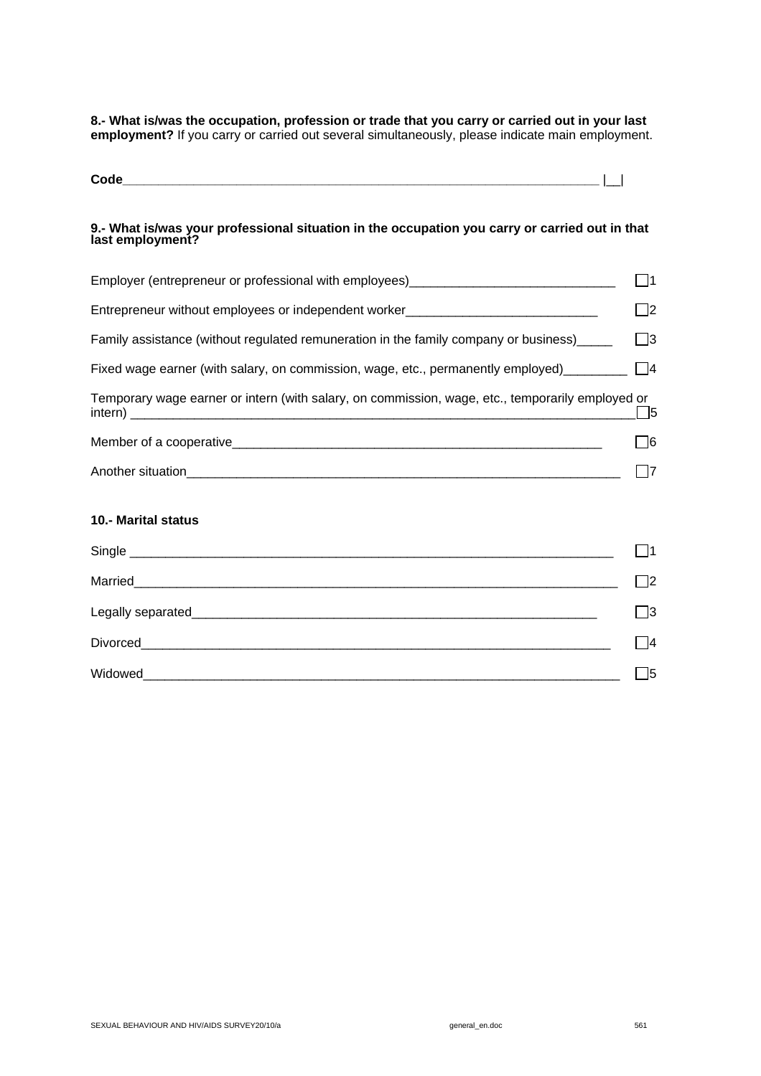**8.- What is/was the occupation, profession or trade that you carry or carried out in your last employment?** If you carry or carried out several simultaneously, please indicate main employment.

| r. |  |
|----|--|
|    |  |

#### **9.- What is/was your professional situation in the occupation you carry or carried out in that last employment?**

| Employer (entrepreneur or professional with employees)__________________________                 | $\Box$ 1                 |
|--------------------------------------------------------------------------------------------------|--------------------------|
| Entrepreneur without employees or independent worker____________________________                 | $\overline{\phantom{a}}$ |
| Family assistance (without regulated remuneration in the family company or business)_____        | $\Box$ 3                 |
| Fixed wage earner (with salary, on commission, wage, etc., permanently employed) $\Box$          |                          |
| Temporary wage earner or intern (with salary, on commission, wage, etc., temporarily employed or | $\Box$ 5                 |
|                                                                                                  | - 16                     |
|                                                                                                  | - 17                     |
| <b>10.- Marital status</b>                                                                       |                          |
|                                                                                                  | $\mathsf{I}$             |
|                                                                                                  | -12                      |
|                                                                                                  | $\Box$ 3                 |
|                                                                                                  | $\vert$ 14               |
| Widowed                                                                                          | $\sqrt{5}$               |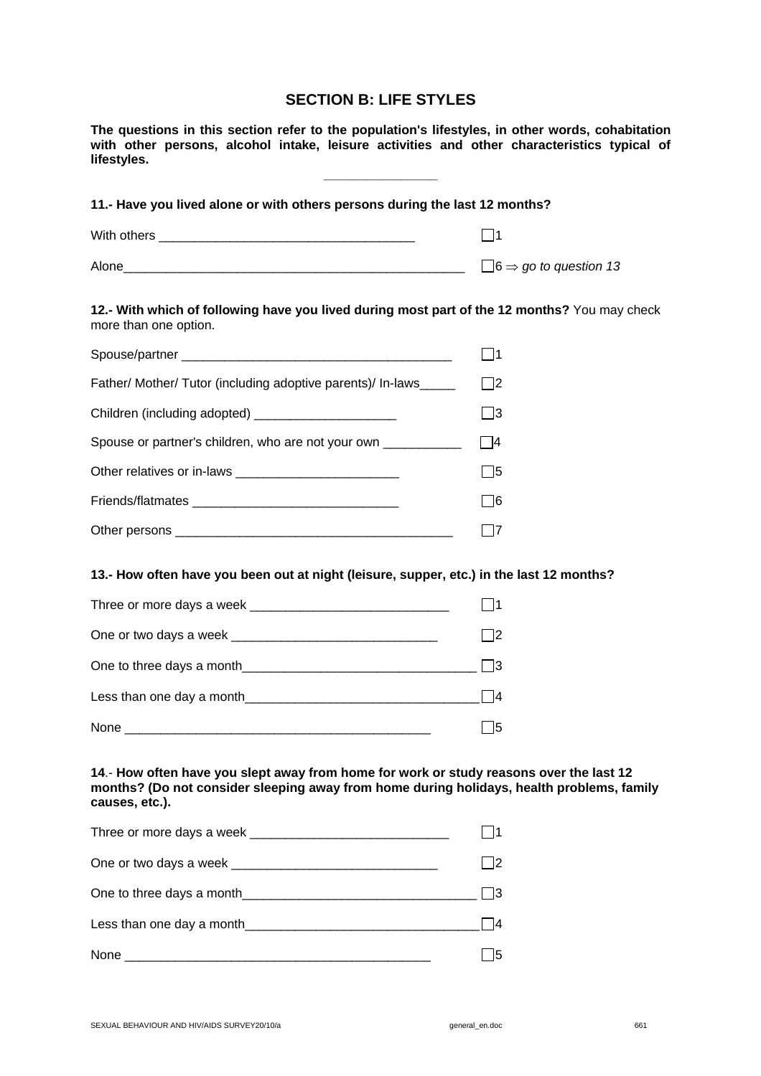## **SECTION B: LIFE STYLES**

**The questions in this section refer to the population's lifestyles, in other words, cohabitation with other persons, alcohol intake, leisure activities and other characteristics typical of lifestyles.** 

**\_\_\_\_\_\_\_\_\_\_\_\_\_\_\_\_** 

| 11.- Have you lived alone or with others persons during the last 12 months? |                                          |  |
|-----------------------------------------------------------------------------|------------------------------------------|--|
| With others                                                                 | l 11                                     |  |
| Alone                                                                       | $\Box$ 6 $\Rightarrow$ go to question 13 |  |

**12.- With which of following have you lived during most part of the 12 months?** You may check more than one option.

| Father/ Mother/ Tutor (including adoptive parents)/ In-laws    | l 12 |
|----------------------------------------------------------------|------|
| Children (including adopted) ______________________            |      |
| Spouse or partner's children, who are not your own ___________ | 14   |
|                                                                | 15   |
|                                                                |      |
|                                                                |      |

#### **13.- How often have you been out at night (leisure, supper, etc.) in the last 12 months?**

| Three or more days a week |  |
|---------------------------|--|
| One or two days a week    |  |
| One to three days a month |  |
| Less than one day a month |  |
| None                      |  |

## **14**.- **How often have you slept away from home for work or study reasons over the last 12 months? (Do not consider sleeping away from home during holidays, health problems, family causes, etc.).**

| Three or more days a week |  |
|---------------------------|--|
|                           |  |
| One to three days a month |  |
| Less than one day a month |  |
| None                      |  |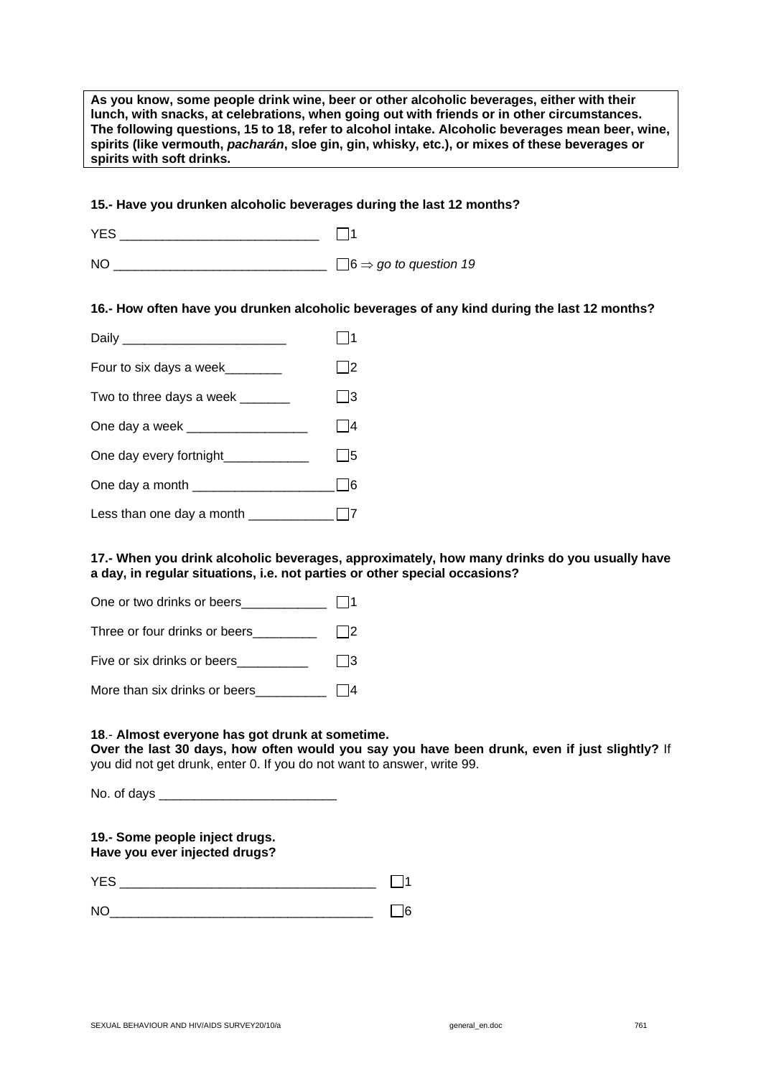| As you know, some people drink wine, beer or other alcoholic beverages, either with their<br>lunch, with snacks, at celebrations, when going out with friends or in other circumstances.<br>The following questions, 15 to 18, refer to alcohol intake. Alcoholic beverages mean beer, wine,<br>spirits (like vermouth, pacharán, sloe gin, gin, whisky, etc.), or mixes of these beverages or<br>spirits with soft drinks. |          |  |
|-----------------------------------------------------------------------------------------------------------------------------------------------------------------------------------------------------------------------------------------------------------------------------------------------------------------------------------------------------------------------------------------------------------------------------|----------|--|
|                                                                                                                                                                                                                                                                                                                                                                                                                             |          |  |
| 15.- Have you drunken alcoholic beverages during the last 12 months?                                                                                                                                                                                                                                                                                                                                                        |          |  |
|                                                                                                                                                                                                                                                                                                                                                                                                                             |          |  |
|                                                                                                                                                                                                                                                                                                                                                                                                                             |          |  |
| 16.- How often have you drunken alcoholic beverages of any kind during the last 12 months?                                                                                                                                                                                                                                                                                                                                  |          |  |
|                                                                                                                                                                                                                                                                                                                                                                                                                             | $\Box$ 1 |  |
| Four to six days a week________                                                                                                                                                                                                                                                                                                                                                                                             | $\Box$ 2 |  |
| Two to three days a week _______                                                                                                                                                                                                                                                                                                                                                                                            | $\Box$ 3 |  |
| One day a week ___________________                                                                                                                                                                                                                                                                                                                                                                                          | $\Box$ 4 |  |
| One day every fortnight                                                                                                                                                                                                                                                                                                                                                                                                     | $\Box$ 5 |  |
|                                                                                                                                                                                                                                                                                                                                                                                                                             | $\Box$ 6 |  |
|                                                                                                                                                                                                                                                                                                                                                                                                                             |          |  |
| 17.- When you drink alcoholic beverages, approximately, how many drinks do you usually have<br>a day in requilar situations i.e. not parties or other special occasions?                                                                                                                                                                                                                                                    |          |  |

**a day, in regular situations, i.e. not parties or other special occasions?** 

| One or two drinks or beers    |            |
|-------------------------------|------------|
| Three or four drinks or beers | l 12       |
| Five or six drinks or beers   | $\vert$ 13 |
| More than six drinks or beers |            |

## **18**.- **Almost everyone has got drunk at sometime.**

**Over the last 30 days, how often would you say you have been drunk, even if just slightly?** If you did not get drunk, enter 0. If you do not want to answer, write 99.

No. of days \_\_\_\_\_\_\_\_\_\_\_\_\_\_\_\_\_\_\_\_\_\_\_\_\_

## **19.- Some people inject drugs. Have you ever injected drugs?**

| ۰ |  |  |
|---|--|--|
|   |  |  |

| ۰ |  |
|---|--|
|   |  |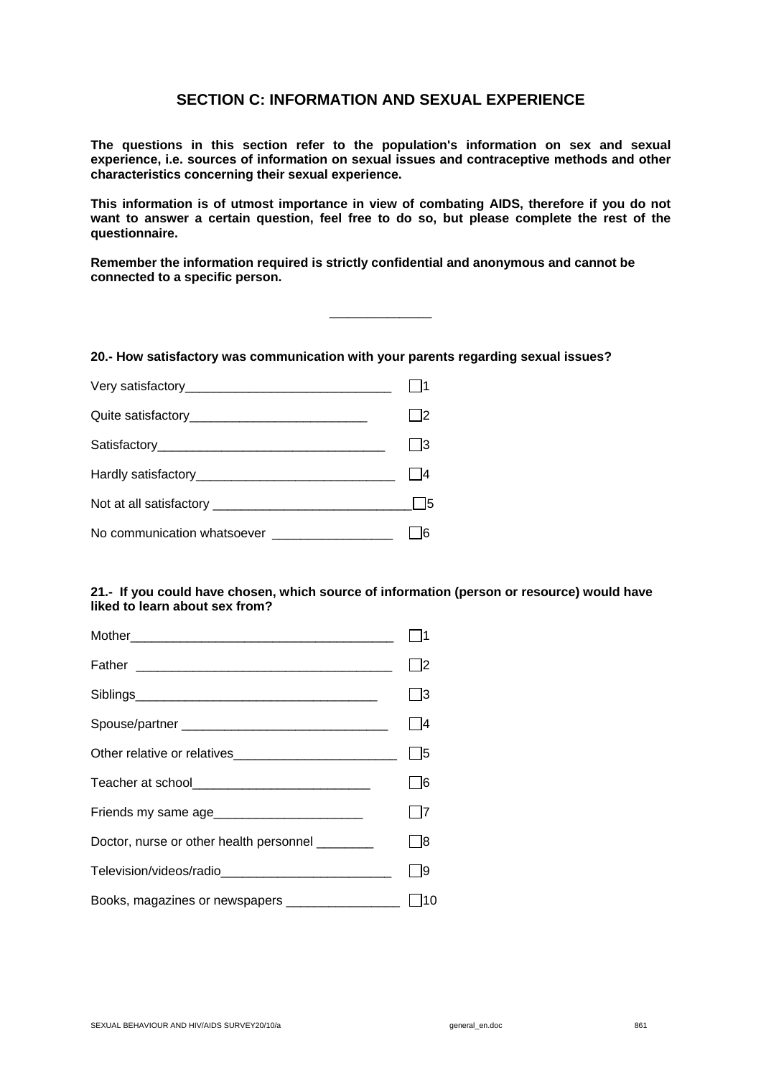## **SECTION C: INFORMATION AND SEXUAL EXPERIENCE**

**The questions in this section refer to the population's information on sex and sexual experience, i.e. sources of information on sexual issues and contraceptive methods and other characteristics concerning their sexual experience.** 

**This information is of utmost importance in view of combating AIDS, therefore if you do not want to answer a certain question, feel free to do so, but please complete the rest of the questionnaire.** 

\_\_\_\_\_\_\_\_\_\_\_\_\_\_\_\_

**Remember the information required is strictly confidential and anonymous and cannot be connected to a specific person.** 

**20.- How satisfactory was communication with your parents regarding sexual issues?** 

|                                                  | $\Box$ 3 |
|--------------------------------------------------|----------|
|                                                  | l 14     |
|                                                  |          |
| No communication whatsoever ____________________ |          |

## **21.- If you could have chosen, which source of information (person or resource) would have liked to learn about sex from?**

|                                                   | - 13 |
|---------------------------------------------------|------|
|                                                   | l 14 |
|                                                   | 5    |
| Teacher at school________________________________ | l 16 |
|                                                   | 7    |
| Doctor, nurse or other health personnel ________  | l 18 |
|                                                   | - 19 |
|                                                   | 110  |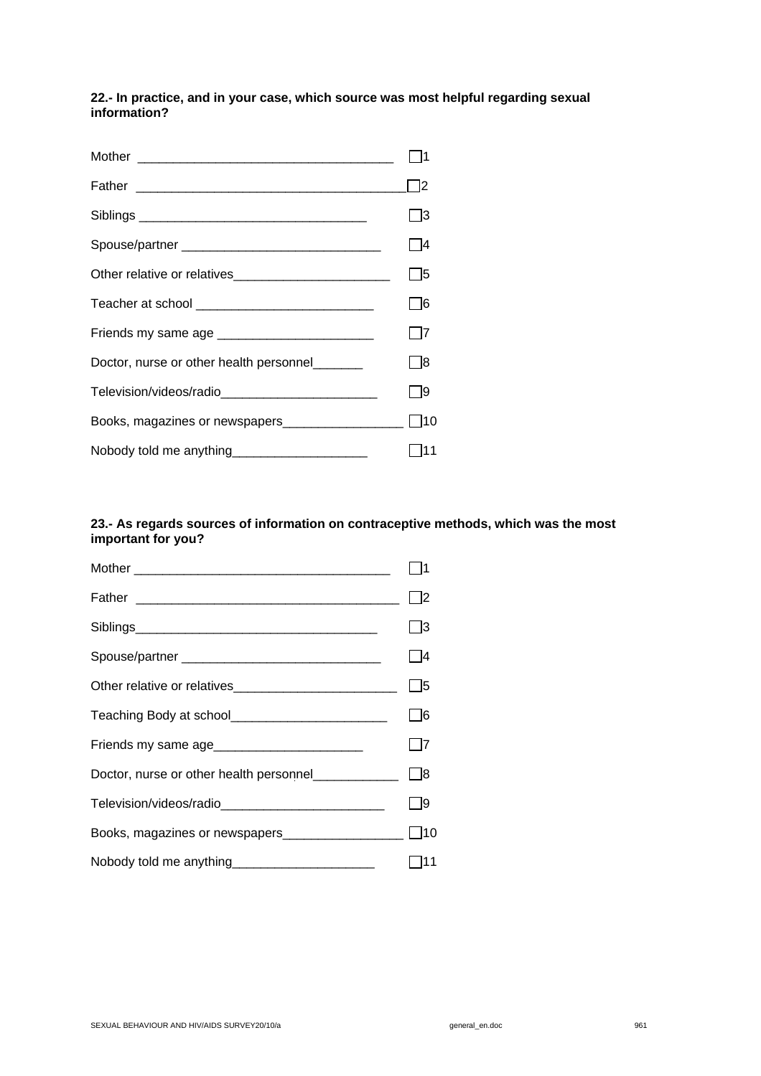## **22.- In practice, and in your case, which source was most helpful regarding sexual information?**

|                                                  | - 13 |
|--------------------------------------------------|------|
|                                                  | - 14 |
| Other relative or relatives                      | - 15 |
|                                                  | - 16 |
| Friends my same age ____________________________ | - 17 |
| Doctor, nurse or other health personnel_______   | - 18 |
|                                                  | - 19 |
|                                                  |      |
| Nobody told me anything______________________    |      |

## **23.- As regards sources of information on contraceptive methods, which was the most important for you?**

|                                                       | - 13        |
|-------------------------------------------------------|-------------|
|                                                       | - 14        |
|                                                       | l 15        |
| Teaching Body at school__________________________     | - 16        |
|                                                       |             |
| Doctor, nurse or other health personnel______________ | $\lfloor$ 8 |
| Television/videos/radio______________________________ | - 19        |
|                                                       |             |
| Nobody told me anything_______________________        |             |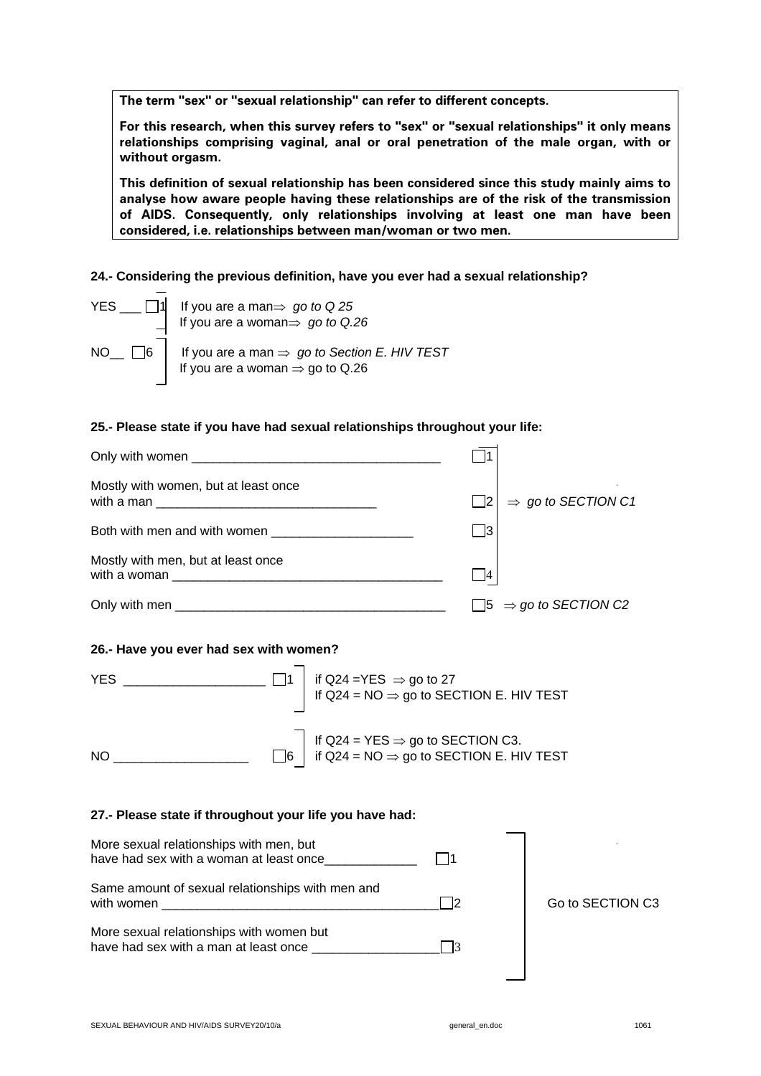**The term "sex" or "sexual relationship" can refer to different concepts.** 

**For this research, when this survey refers to "sex" or "sexual relationships" it only means relationships comprising vaginal, anal or oral penetration of the male organ, with or without orgasm.** 

**This definition of sexual relationship has been considered since this study mainly aims to analyse how aware people having these relationships are of the risk of the transmission of AIDS. Consequently, only relationships involving at least one man have been considered, i.e. relationships between man/woman or two men.** 

**24.- Considering the previous definition, have you ever had a sexual relationship?** 

| YES $\Box$ 1 | If you are a man⇒ <i>go to</i> Q 25<br>If you are a woman⇒ <i>go to</i> Q.26                                                        |
|--------------|-------------------------------------------------------------------------------------------------------------------------------------|
|              | NO <sub>__</sub> $\Box$ 6   If you are a man $\Rightarrow$ go to Section E. HIV TEST<br>If you are a woman $\Rightarrow$ go to Q.26 |

## **25.- Please state if you have had sexual relationships throughout your life:**

| Mostly with women, but at least once |            | $\Rightarrow$ go to SECTION C1          |
|--------------------------------------|------------|-----------------------------------------|
|                                      | $\sqrt{3}$ |                                         |
| Mostly with men, but at least once   |            |                                         |
|                                      |            | $\Box$ 5 $\Rightarrow$ go to SECTION C2 |

## **26.- Have you ever had sex with women?**

| <b>YES</b> | if Q24 =YES $\Rightarrow$ go to 27<br>If Q24 = NO $\Rightarrow$ go to SECTION E. HIV TEST                    |
|------------|--------------------------------------------------------------------------------------------------------------|
| NO         | If Q24 = YES $\Rightarrow$ go to SECTION C3.<br>$\Box$ 6 if Q24 = NO $\Rightarrow$ go to SECTION E. HIV TEST |

#### **27.- Please state if throughout your life you have had:**

| More sexual relationships with men, but<br>have had sex with a woman at least once |                  |
|------------------------------------------------------------------------------------|------------------|
| Same amount of sexual relationships with men and<br>with women                     | Go to SECTION C3 |
| More sexual relationships with women but<br>have had sex with a man at least once  |                  |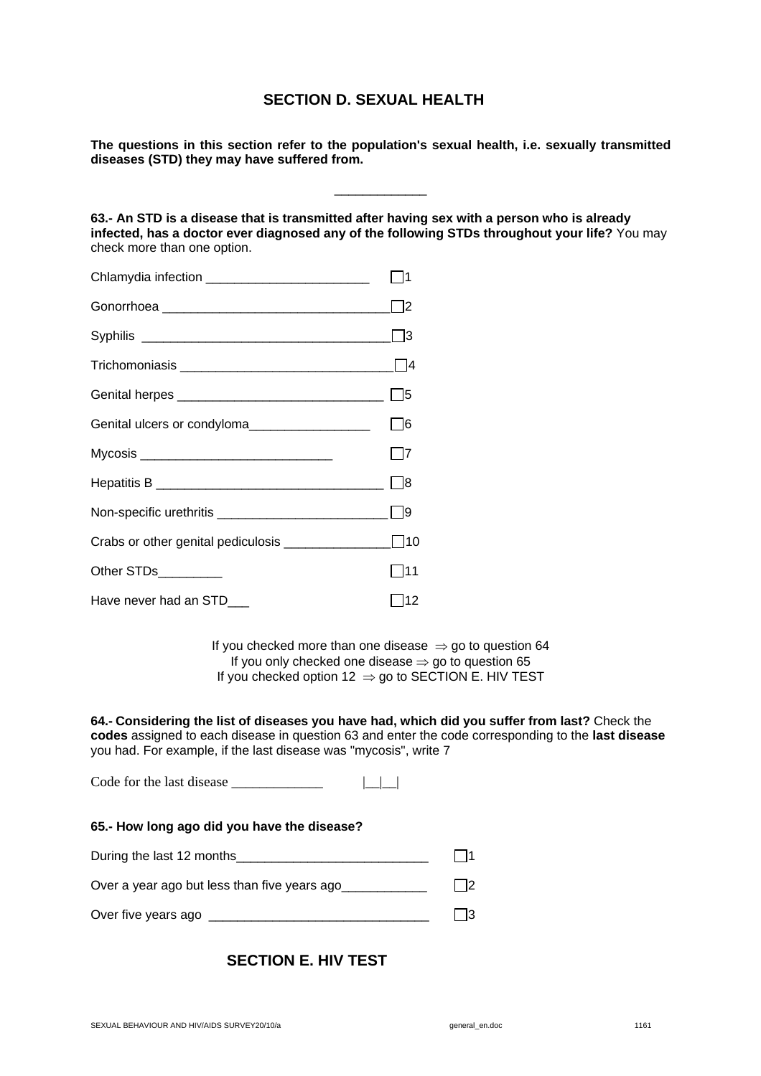## **SECTION D. SEXUAL HEALTH**

**The questions in this section refer to the population's sexual health, i.e. sexually transmitted diseases (STD) they may have suffered from.** 

\_\_\_\_\_\_\_\_\_\_\_\_\_

**63.- An STD is a disease that is transmitted after having sex with a person who is already infected, has a doctor ever diagnosed any of the following STDs throughout your life?** You may check more than one option.

|                                               | l 12              |
|-----------------------------------------------|-------------------|
|                                               | l 13              |
|                                               |                   |
|                                               | 15                |
| Genital ulcers or condyloma__________________ | $\Box$ 6          |
|                                               | - 17              |
|                                               | $\vert$ $\vert$ 8 |
|                                               | l 19              |
|                                               |                   |
| Other STDs_________                           | - 111             |
| Have never had an STD___                      | 12                |

If you checked more than one disease  $\Rightarrow$  go to question 64 If you only checked one disease  $\Rightarrow$  go to question 65 If you checked option 12  $\Rightarrow$  go to SECTION E. HIV TEST

**64.- Considering the list of diseases you have had, which did you suffer from last?** Check the **codes** assigned to each disease in question 63 and enter the code corresponding to the **last disease** you had. For example, if the last disease was "mycosis", write 7

Code for the last disease \_\_\_\_\_\_\_\_\_\_\_\_\_ |\_\_|\_\_|

|  |  |  |  | 65.- How long ago did you have the disease? |  |
|--|--|--|--|---------------------------------------------|--|
|  |  |  |  |                                             |  |

| During the last 12 months_ |  |  |  |
|----------------------------|--|--|--|
|----------------------------|--|--|--|

Over a year ago but less than five years ago<br> $\Box$ 2

| Over five years ago |  |  |  |
|---------------------|--|--|--|
|---------------------|--|--|--|

## **SECTION E. HIV TEST**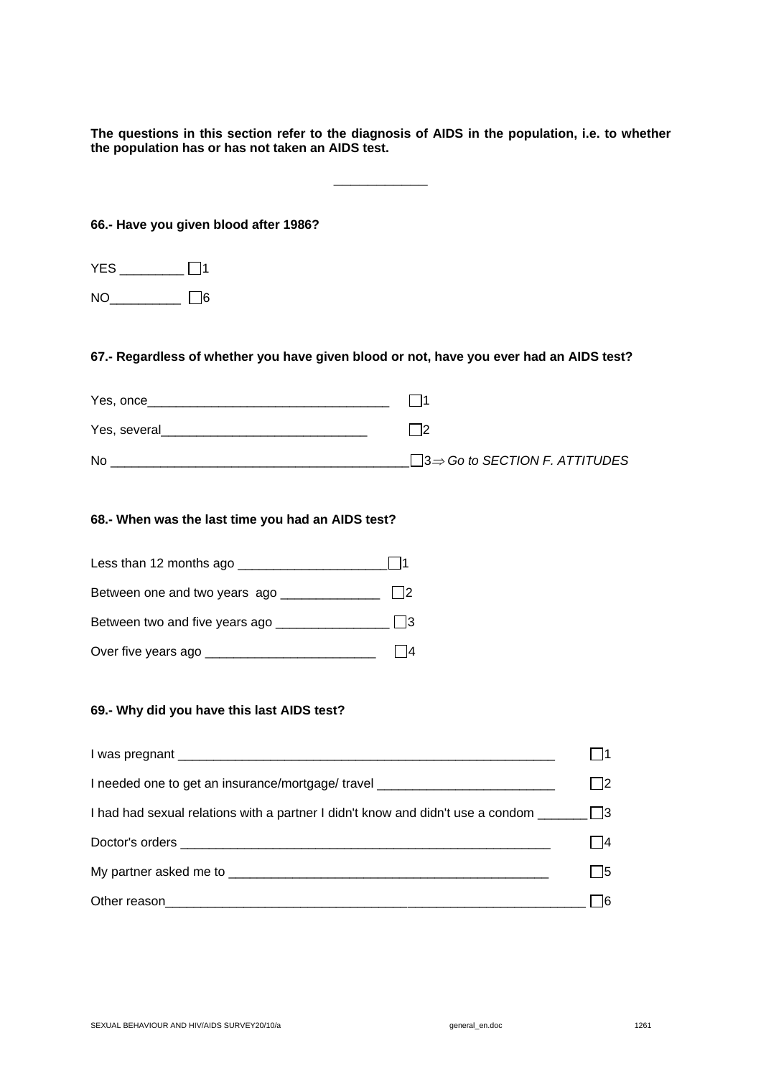**The questions in this section refer to the diagnosis of AIDS in the population, i.e. to whether the population has or has not taken an AIDS test.** 

**\_\_\_\_\_\_\_\_\_\_\_** 

**66.- Have you given blood after 1986?** 

| <b>YES</b> |    |
|------------|----|
| NO         | 16 |

## **67.- Regardless of whether you have given blood or not, have you ever had an AIDS test?**

| Yes, once    |                                                   |
|--------------|---------------------------------------------------|
| Yes, several |                                                   |
| <b>No</b>    | $\Box$ 3 $\Rightarrow$ Go to SECTION F. ATTITUDES |

## **68.- When was the last time you had an AIDS test?**

| Less than 12 months ago        |  |
|--------------------------------|--|
| Between one and two years ago  |  |
| Between two and five years ago |  |
| Over five years ago __         |  |

#### **69.- Why did you have this last AIDS test?**

| I needed one to get an insurance/mortgage/ travel ______________________________                               |      |
|----------------------------------------------------------------------------------------------------------------|------|
| I had had sexual relations with a partner I didn't know and didn't use a condom $\Box$                         |      |
| Doctor's orders experience and the contract of the contract of the contract of the contract of the contract of |      |
|                                                                                                                | l 15 |
|                                                                                                                |      |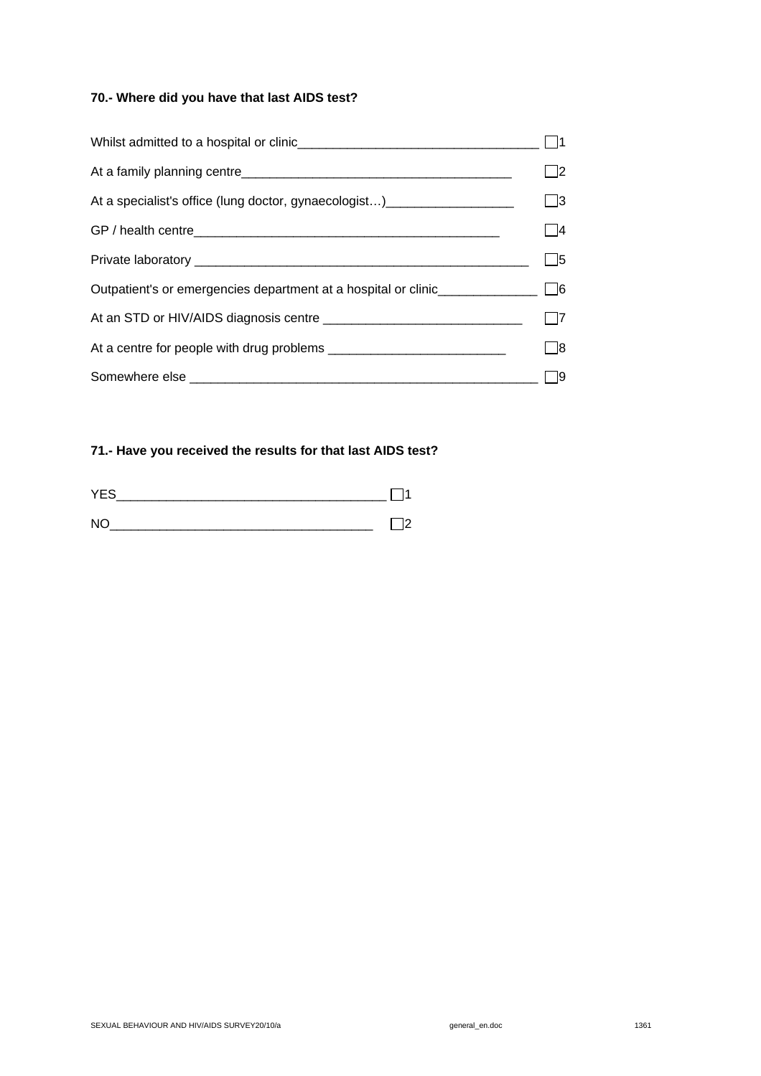## **70.- Where did you have that last AIDS test?**

|                                                                               | l 12       |
|-------------------------------------------------------------------------------|------------|
| At a specialist's office (lung doctor, gynaecologist)________________________ | $\Box$ 3   |
|                                                                               | l 14       |
|                                                                               | $\vert$ 15 |
|                                                                               |            |
|                                                                               | $\Box$ 7   |
|                                                                               | I 18       |
|                                                                               |            |

## **71.- Have you received the results for that last AIDS test?**

| <b>YES</b> |  |
|------------|--|
| <b>NC</b>  |  |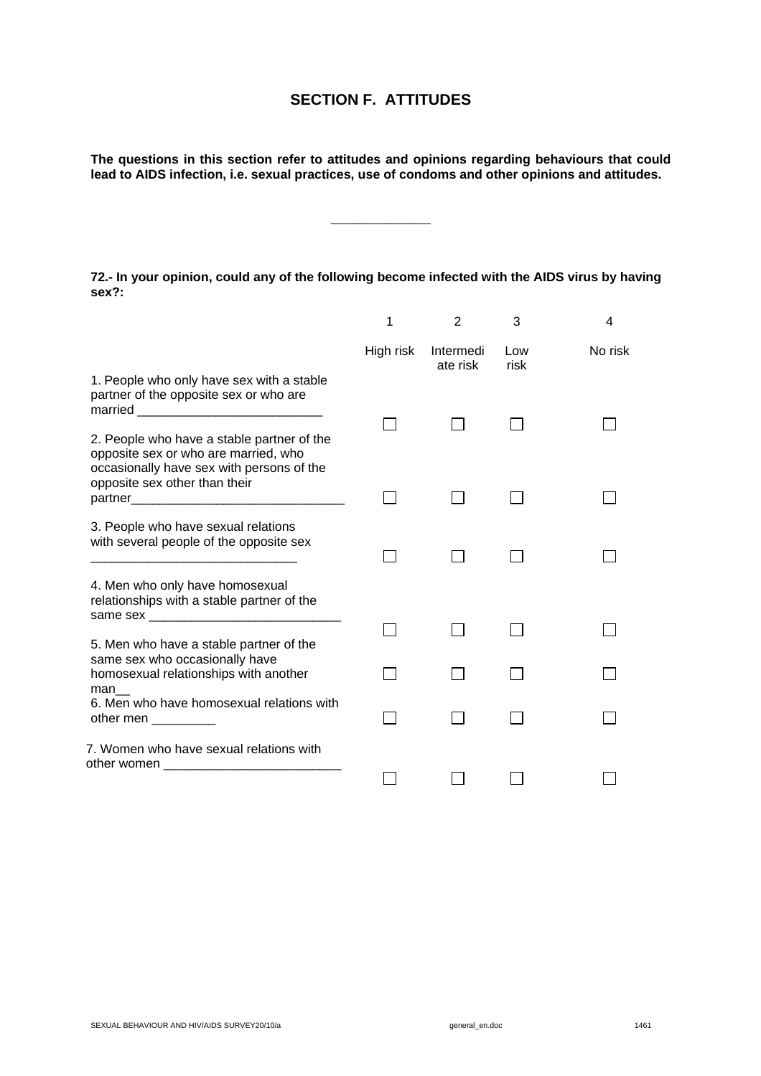## **SECTION F. ATTITUDES**

**The questions in this section refer to attitudes and opinions regarding behaviours that could lead to AIDS infection, i.e. sexual practices, use of condoms and other opinions and attitudes.** 

**\_\_\_\_\_\_\_\_\_\_\_\_\_\_** 

**72.- In your opinion, could any of the following become infected with the AIDS virus by having sex?:** 

|                                                                                                                                 | 1         | 2                     | 3           | 4       |
|---------------------------------------------------------------------------------------------------------------------------------|-----------|-----------------------|-------------|---------|
|                                                                                                                                 | High risk | Intermedi<br>ate risk | Low<br>risk | No risk |
| 1. People who only have sex with a stable<br>partner of the opposite sex or who are                                             |           |                       |             |         |
| 2. People who have a stable partner of the<br>opposite sex or who are married, who<br>occasionally have sex with persons of the |           |                       |             |         |
| opposite sex other than their                                                                                                   |           |                       |             |         |
| 3. People who have sexual relations<br>with several people of the opposite sex                                                  |           |                       |             |         |
| 4. Men who only have homosexual<br>relationships with a stable partner of the                                                   |           |                       |             |         |
| 5. Men who have a stable partner of the                                                                                         |           |                       |             |         |
| same sex who occasionally have<br>homosexual relationships with another<br>man                                                  |           |                       |             |         |
| 6. Men who have homosexual relations with<br>other men ________                                                                 |           |                       |             |         |
| 7. Women who have sexual relations with                                                                                         |           |                       |             |         |
|                                                                                                                                 |           |                       |             |         |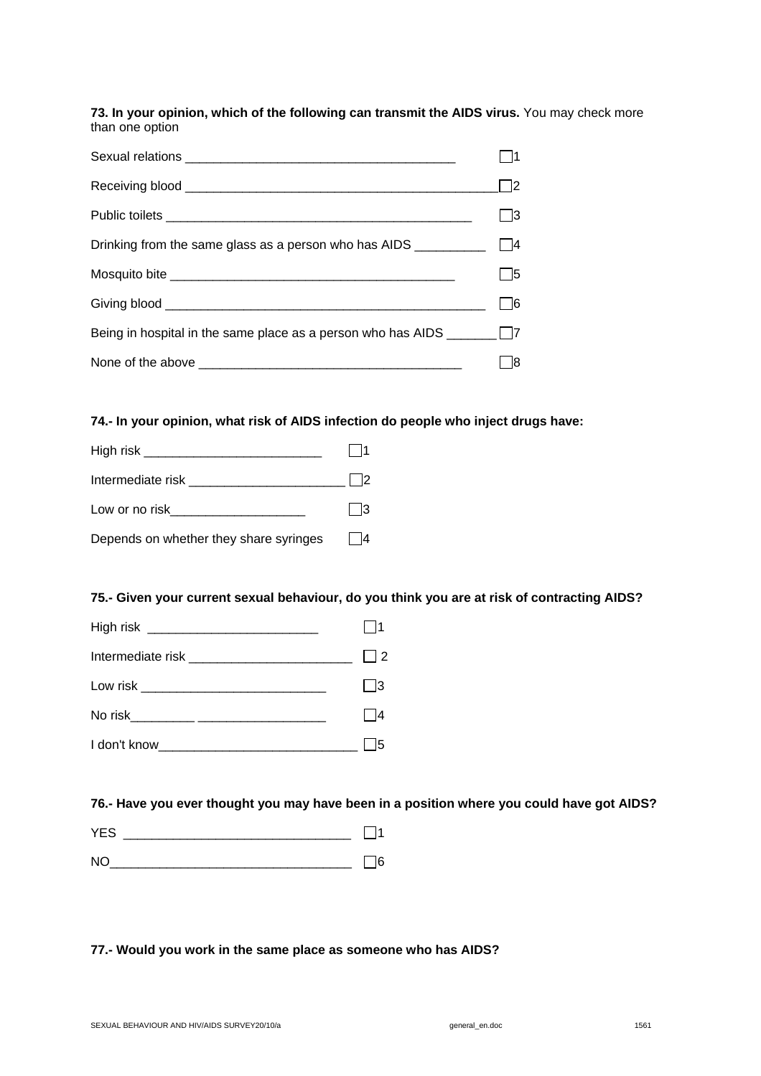**73. In your opinion, which of the following can transmit the AIDS virus.** You may check more than one option

|                                                                              | l 12 |
|------------------------------------------------------------------------------|------|
|                                                                              | l 13 |
|                                                                              |      |
|                                                                              | l 15 |
|                                                                              | l 16 |
| Being in hospital in the same place as a person who has AIDS $\Box$ $\Box$ 7 |      |
|                                                                              |      |

**74.- In your opinion, what risk of AIDS infection do people who inject drugs have:** 



## **75.- Given your current sexual behaviour, do you think you are at risk of contracting AIDS?**



#### **76.- Have you ever thought you may have been in a position where you could have got AIDS?**

| - ^<br>VE- |  |
|------------|--|
| N1         |  |

## **77.- Would you work in the same place as someone who has AIDS?**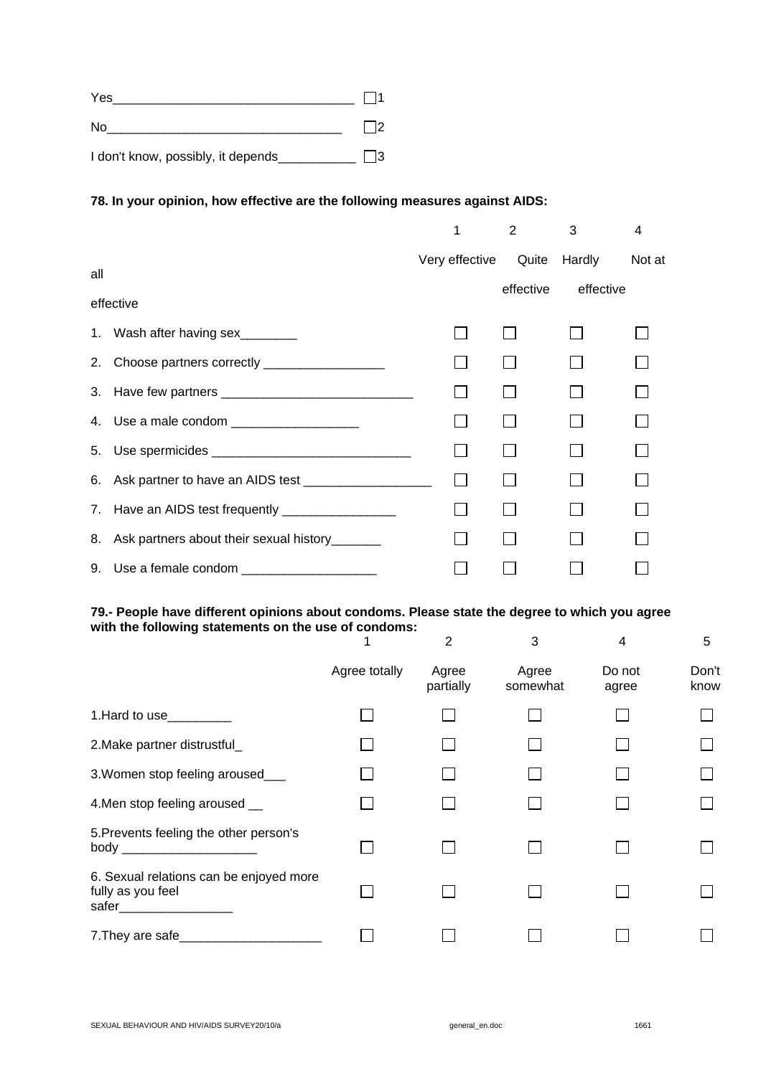| Yes                                |  |
|------------------------------------|--|
| No                                 |  |
| I don't know, possibly, it depends |  |

## **78. In your opinion, how effective are the following measures against AIDS:**

|           |                                                                                                                                                                                                                                      | 1              | 2         | 3            | 4      |
|-----------|--------------------------------------------------------------------------------------------------------------------------------------------------------------------------------------------------------------------------------------|----------------|-----------|--------------|--------|
|           |                                                                                                                                                                                                                                      | Very effective |           | Quite Hardly | Not at |
| all       |                                                                                                                                                                                                                                      |                | effective | effective    |        |
| effective |                                                                                                                                                                                                                                      |                |           |              |        |
|           | 1. Wash after having sex________                                                                                                                                                                                                     |                |           |              |        |
|           | 2. Choose partners correctly ____________________                                                                                                                                                                                    |                |           |              |        |
|           |                                                                                                                                                                                                                                      |                |           |              |        |
|           | 4. Use a male condom ___________________                                                                                                                                                                                             |                |           |              |        |
|           |                                                                                                                                                                                                                                      |                |           |              |        |
|           | 6. Ask partner to have an AIDS test _____________________                                                                                                                                                                            | $\Box$         |           |              |        |
|           | 7. Have an AIDS test frequently _________________                                                                                                                                                                                    |                |           |              |        |
|           | 8. Ask partners about their sexual history______                                                                                                                                                                                     |                |           |              |        |
|           | 9. Use a female condom <b>container and the set of the set of the set of the set of the set of the set of the set of the set of the set of the set of the set of the set of the set of the set of the set of the set of the set </b> |                |           |              |        |

#### **79.- People have different opinions about condoms. Please state the degree to which you agree with the following statements on the use of condoms:**

|                                                                                        |               | $\overline{2}$     | 3                 | 4               | 5             |
|----------------------------------------------------------------------------------------|---------------|--------------------|-------------------|-----------------|---------------|
|                                                                                        | Agree totally | Agree<br>partially | Agree<br>somewhat | Do not<br>agree | Don't<br>know |
| 1. Hard to use                                                                         |               |                    |                   |                 |               |
| 2. Make partner distrustful_                                                           |               |                    |                   |                 |               |
| 3. Women stop feeling aroused_                                                         |               |                    |                   |                 |               |
| 4. Men stop feeling aroused __                                                         |               |                    |                   |                 |               |
| 5. Prevents feeling the other person's<br>body _______________________                 |               |                    |                   |                 |               |
| 6. Sexual relations can be enjoyed more<br>fully as you feel<br>safer_________________ |               |                    |                   |                 |               |
| 7. They are safe                                                                       |               |                    |                   |                 |               |

$$
1661
$$